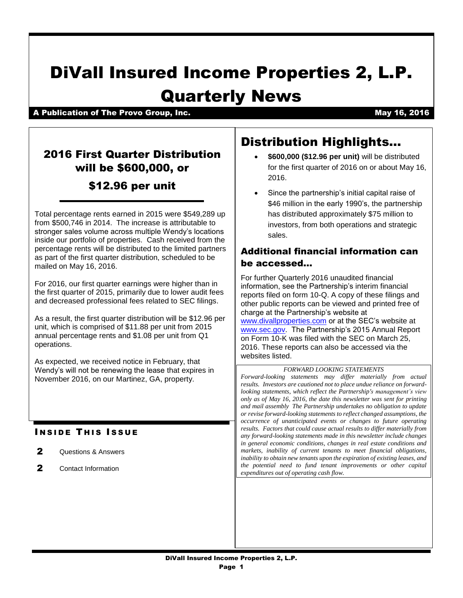# DiVall Insured Income Properties 2, L.P. Quarterly News

A Publication of The Provo Group, Inc. A Communication of the Provo Group, Inc.

## 2016 First Quarter Distribution will be \$600,000, or

## \$12.96 per unit

Total percentage rents earned in 2015 were \$549,289 up from \$500,746 in 2014. The increase is attributable to stronger sales volume across multiple Wendy's locations inside our portfolio of properties. Cash received from the percentage rents will be distributed to the limited partners as part of the first quarter distribution, scheduled to be mailed on May 16, 2016.

For 2016, our first quarter earnings were higher than in the first quarter of 2015, primarily due to lower audit fees and decreased professional fees related to SEC filings.

As a result, the first quarter distribution will be \$12.96 per unit, which is comprised of \$11.88 per unit from 2015 annual percentage rents and \$1.08 per unit from Q1 operations.

As expected, we received notice in February, that Wendy's will not be renewing the lease that expires in November 2016, on our Martinez, GA, property.

### **INSIDE THIS ISSUE**

- 2 Questions & Answers
- 2 Contact Information

## Distribution Highlights…

- **\$600,000 (\$12.96 per unit)** will be distributed for the first quarter of 2016 on or about May 16, 2016.
- Since the partnership's initial capital raise of \$46 million in the early 1990's, the partnership has distributed approximately \$75 million to investors, from both operations and strategic sales.

#### Additional financial information can be accessed…

For further Quarterly 2016 unaudited financial information, see the Partnership's interim financial reports filed on form 10-Q. A copy of these filings and other public reports can be viewed and printed free of charge at the Partnership's website at [www.divallproperties.com](http://www.divallproperties.com/) or at the SEC's website at [www.sec.gov.](http://www.sec.gov/) The Partnership's 2015 Annual Report on Form 10-K was filed with the SEC on March 25, 2016. These reports can also be accessed via the websites listed.

#### *FORWARD LOOKING STATEMENTS*

*Forward-looking statements may differ materially from actual results. Investors are cautioned not to place undue reliance on forwardlooking statements, which reflect the Partnership's management's view only as of May 16, 2016, the date this newsletter was sent for printing and mail assembly The Partnership undertakes no obligation to update or revise forward-looking statements to reflect changed assumptions, the occurrence of unanticipated events or changes to future operating results. Factors that could cause actual results to differ materially from any forward-looking statements made in this newsletter include changes in general economic conditions, changes in real estate conditions and markets, inability of current tenants to meet financial obligations, inability to obtain new tenants upon the expiration of existing leases, and the potential need to fund tenant improvements or other capital expenditures out of operating cash flow.*